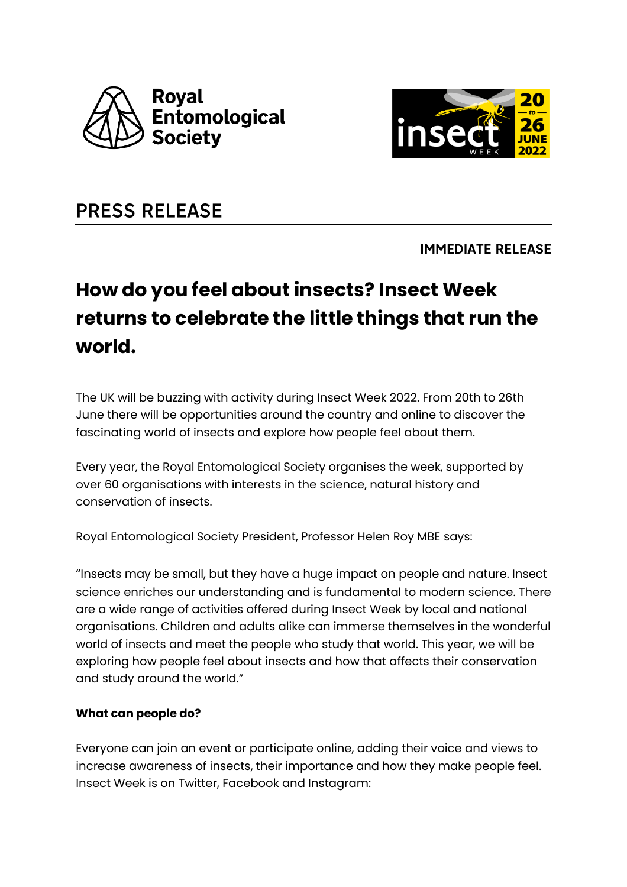



# **PRESS RELEASE**

**IMMEDIATE RELEASE** 

# **How do you feel about insects? Insect Week returns to celebrate the little things that run the world.**

The UK will be buzzing with activity during Insect Week 2022. From 20th to 26th June there will be opportunities around the country and online to discover the fascinating world of insects and explore how people feel about them.

Every year, the Royal Entomological Society organises the week, supported by over 60 organisations with interests in the science, natural history and conservation of insects.

Royal Entomological Society President, Professor Helen Roy MBE says:

"Insects may be small, but they have a huge impact on people and nature. Insect science enriches our understanding and is fundamental to modern science. There are a wide range of activities offered during Insect Week by local and national organisations. Children and adults alike can immerse themselves in the wonderful world of insects and meet the people who study that world. This year, we will be exploring how people feel about insects and how that affects their conservation and study around the world."

#### **What can people do?**

Everyone can join an event or participate online, adding their voice and views to increase awareness of insects, their importance and how they make people feel. Insect Week is on Twitter, Facebook and Instagram: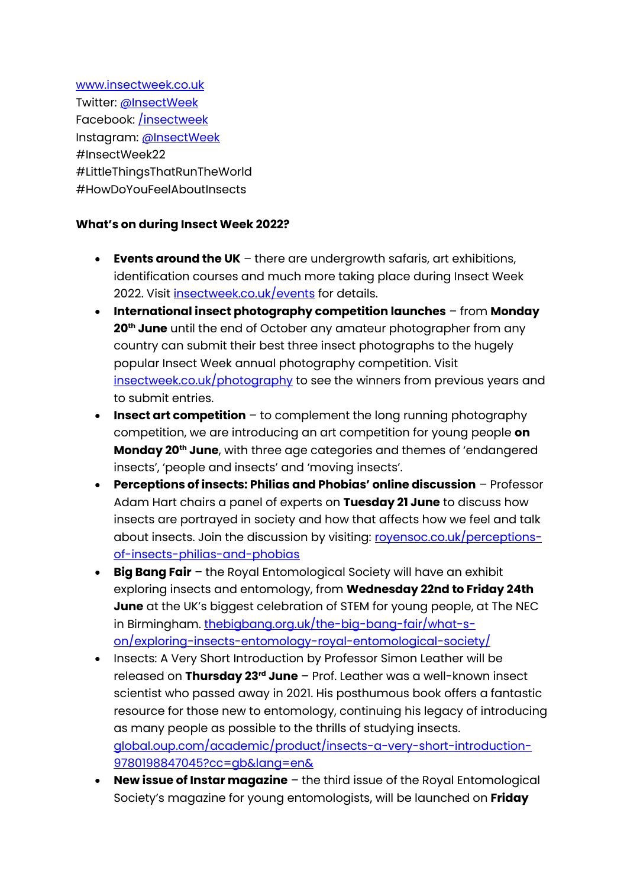[www.insectweek.co.uk](http://www.insectweek.co.uk/) Twitter: [@InsectWeek](https://twitter.com/insectweek) Facebook: *insectweek* Instagram: [@InsectWeek](https://www.instagram.com/insectweek/) #InsectWeek22 #LittleThingsThatRunTheWorld #HowDoYouFeelAboutInsects

## **What's on during Insect Week 2022?**

- **Events around the UK** there are undergrowth safaris, art exhibitions, identification courses and much more taking place during Insect Week 2022. Visit *insectweek.co.uk/events* for details.
- **International insect photography competition launches** from **Monday 20th June** until the end of October any amateur photographer from any country can submit their best three insect photographs to the hugely popular Insect Week annual photography competition. Visit [insectweek.co.uk/photography](https://www.insectweek.co.uk/photography) to see the winners from previous years and to submit entries.
- **Insect art competition** to complement the long running photography competition, we are introducing an art competition for young people **on Monday 20th June**, with three age categories and themes of 'endangered insects', 'people and insects' and 'moving insects'.
- **Perceptions of insects: Philias and Phobias' online discussion** Professor Adam Hart chairs a panel of experts on **Tuesday 21 June** to discuss how insects are portrayed in society and how that affects how we feel and talk about insects. Join the discussion by visiting: rovensoc.co.uk/perceptions[of-insects-philias-and-phobias](https://www.royensoc.co.uk/perceptions-of-insects-philias-and-phobias/)
- **Big Bang Fair** the Royal Entomological Society will have an exhibit exploring insects and entomology, from **Wednesday 22nd to Friday 24th June** at the UK's biggest celebration of STEM for young people, at The NEC in Birmingham. the bigbang.org.uk/the-big-bang-fair/what-s[on/exploring-insects-entomology-royal-entomological-society/](https://www.thebigbang.org.uk/the-big-bang-fair/what-s-on/exploring-insects-entomology-royal-entomological-society/)
- Insects: A Very Short Introduction by Professor Simon Leather will be released on **Thursday 23rd June** – Prof. Leather was a well-known insect scientist who passed away in 2021. His posthumous book offers a fantastic resource for those new to entomology, continuing his legacy of introducing as many people as possible to the thrills of studying insects. [global.oup.com/academic/product/insects-a-very-short-introduction-](https://global.oup.com/academic/product/insects-a-very-short-introduction-9780198847045?cc=gb&lang=en&)[9780198847045?cc=gb&lang=en&](https://global.oup.com/academic/product/insects-a-very-short-introduction-9780198847045?cc=gb&lang=en&)
- **New issue of Instar magazine** the third issue of the Royal Entomological Society's magazine for young entomologists, will be launched on **Friday**